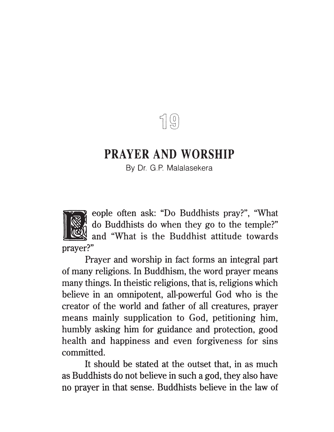$\P$  $\left( 0\right)$ 

## PRAYER AND WORSHIP

By Dr. G.P. Malalasekera

eople often ask: "Do Buddhists pray?", "What do Buddhists do when they go to the temple?" . and "What is the Buddhist attitude towards prayer?"

Prayer and worship in fact forms an integral part of many religions. In Buddhism, the word prayer means many things. In theistic religions, that is, religions which believe in an omnipotent, all-powerful God who is the creator of the world and father of all creatures, prayer means mainly supplication to God, petitioning him, humbly asking him for guidance and protection, good health and happiness and even forgiveness for sins committed.

It should be stated at the outset that, in as much as Buddhists do not believe in such a god, they also have no prayer in that sense. Buddhists believe in the law of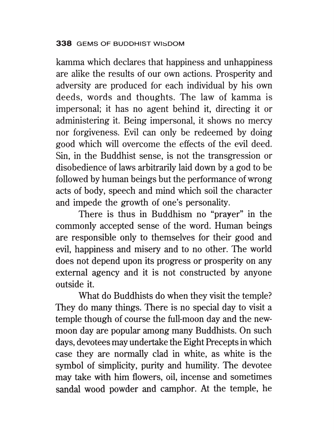kamma which declares that happiness and unhappiness are alike the results of our own actions. Prosperity and adversity are produced for each individual by his own deeds, words and thoughts. The law of kamma is impersonal; it has no agent behind it, directing it or administering it. Being impersonal, it shows no mercy nor forgiveness. Evil can only be redeemed by doing good which will overcome the effects of the evil deed. Sin, in the Buddhist sense, is not the transgression or disobedience of laws arbitrarily laid down by a god to be followed by human beings but the performance of wrong acts of body, speech and mind which soil the character and impede the growth of one's personality.

There is thus in Buddhism no "prayer" in the commonly accepted sense of the word. Human beings are responsible only to themselves for their good and evil, happiness and misery and to no other. The world does not depend upon its progress or prosperity on any external agency and it is not constructed by anyone outside it.

What do Buddhists do when they visit the temple? They do many things. There is no special day to visit a temple though of course the full-moon day and the newmoon day are popular among many Buddhists. On such days, devotees may undertake the Eight Precepts in which case they are normally clad in white, as white is the symbol of simplicity, purity and humility. The devotee may take with him flowers, oil, incense and sometimes sandal wood powder and camphor. At the temple, he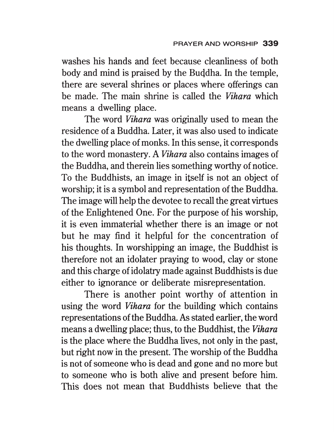washes his hands and feet because cleanliness of both body and mind is praised by the Buddha. In the temple, there are several shrines or places where offerings can be made. The main shrine is called the Vihara which means a dwelling place.

The word *Vihara* was originally used to mean the residence of a Buddha. Later, it was also used to indicate the dwelling place of monks. In this sense, it corresponds to the word monastery. A Vihara also contains images of the Buddha, and therein lies something worthy of notice. To the Buddhists, an image in itself is not an object of worship; it is a symbol and representation of the Buddha. The image will help the devotee to recall the great virtues of the Enlightened One. For the purpose of his worship, it is even immaterial whether there is an image or not but he may find it helpful for the concentration of his thoughts. In worshipping an image, the Buddhist is therefore not an idolater praying to wood, clay or stone and this charge of idolatry made against Buddhists is due either to ignorance or deliberate misrepresentation.

There is another point worthy of attention in using the word Vihara for the building which contains representations of the Buddha. As stated earlier, the word means a dwelling place; thus, to the Buddhist, the *Vihara* is the place where the Buddha lives, not only in the past, but right now in the present. The worship of the Buddha is not of someone who is dead and gone and no more but to someone who is both alive and present before him. This does not mean that Buddhists believe that the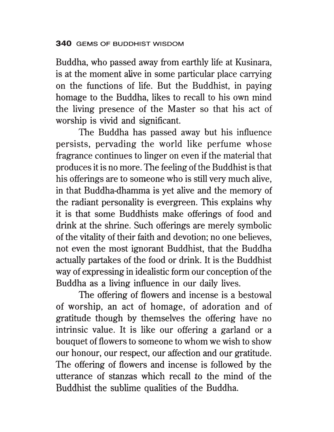Buddha, who passed away from earthly life at Kusinara, is at the moment alive in some particular place carrying on the functions of life. But the Buddhist, in paying homage to the Buddha, likes to recall to his own mind the living presence of the Master so that his act of worship is vivid and significant.

The Buddha has passed away but his influence persists, pervading the world like perfume whose fragrance continues to linger on even if the material that produces it is no more. The feeling of the Buddhist is that his offerings are to someone who is still very much alive, in that Buddha-dhamma is yet alive and the memory of the radiant personality is evergreen. This explains why it is that some Buddhists make offerings of food and drink at the shrine. Such offerings are merely symbolic of the vitality of their faith and devotion; no one believes, not even the most ignorant Buddhist, that the Buddha actually partakes of the food or drink. It is the Buddhist way of expressing in idealistic form our conception of the Buddha as a living influence in our daily lives.

The offering of flowers and incense is a bestowal of worship, an act of homage, of adoration and of gratitude though by themselves the offering have no intrinsic value. It is like our offering a garland or a bouquet of flowers to someone to whom we wish to show our honour, our respect, our affection and our gratitude. The offering of flowers and incense is followed by the utterance of stanzas which recall to the mind of the Buddhist the sublime qualities of the Buddha.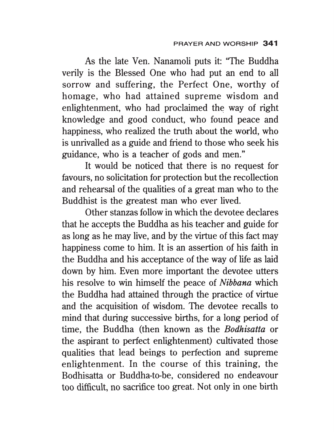As the late Ven. Nanamoli puts it: "The Buddha verily is the Blessed One who had put an end to all sorrow and suffering, the Perfect One, worthy of homage, who had attained supreme wisdom and enlightenment, who had proclaimed the way of right knowledge and good conduct, who found peace and happiness, who realized the truth about the world, who is unrivalled as a guide and friend to those who seek his guidance, who is a teacher of gods and men."

It would be noticed that there is no request for favours, no solicitation for protection but the recollection and rehearsal of the qualities of a great man who to the Buddhist is the greatest man who ever lived.

Other stanzas follow in which the devotee declares that he accepts the Buddha as his teacher and guide for as long as he may live, and by the virtue of this fact may happiness come to him. It is an assertion of his faith in the Buddha and his acceptance of the way of life as laid down by him. Even more important the devotee utters his resolve to win himself the peace of Nibbana which the Buddha had attained through the practice of virtue and the acquisition of wisdom. The devotee recalls to mind that during successive births, for a long period of time, the Buddha (then known as the Bodhisatta or the aspirant to perfect enlightenment) cultivated those qualities that lead beings to perfection and supreme enlightenment. In the course of this training, the Bodhisatta or Buddha-to-be, considered no endeavour too difficult, no sacrifice too great. Not only in one birth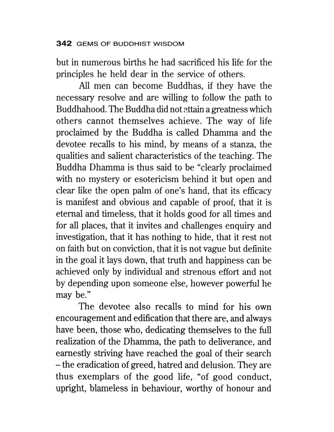but in numerous births he had sacrificed his life for the principles he held dear in the service of others.

All men can become Buddhas, if they have the necessary resolve and are willing to follow the path to Buddhahood. The Buddha did not attain a greatness which others cannot themselves achieve. The way of life proclaimed by the Buddha is called Dhamma and the devotee recalls to his mind, by means of a stanza, the qualities and salient characteristics of the teaching. The Buddha Dhamma is thus said to be "clearly proclaimed with no mystery or esotericism behind it but open and clear like the open palm of one's hand, that its efficacy is manifest and obvious and capable of proof, that it is eternal and timeless, that it holds good for all times and for all places, that it invites and challenges enquiry and investigation, that it has nothing to hide, that it rest not on faith but on conviction, that it is not vague but definite in the goal it lays down, that truth and happiness can be achieved only by individual and strenous effort and not by depending upon someone else, however powerful he may be."

The devotee also recalls to mind for his own encouragement and edification that there are, and always have been, those who, dedicating themselves to the full realization of the Dhamma, the path to deliverance, and earnestly striving have reached the goal of their search — the eradication of greed, hatred and delusion. They are thus exemplars of the good life,."of good conduct, upright, blameless in behaviour, worthy of honour and